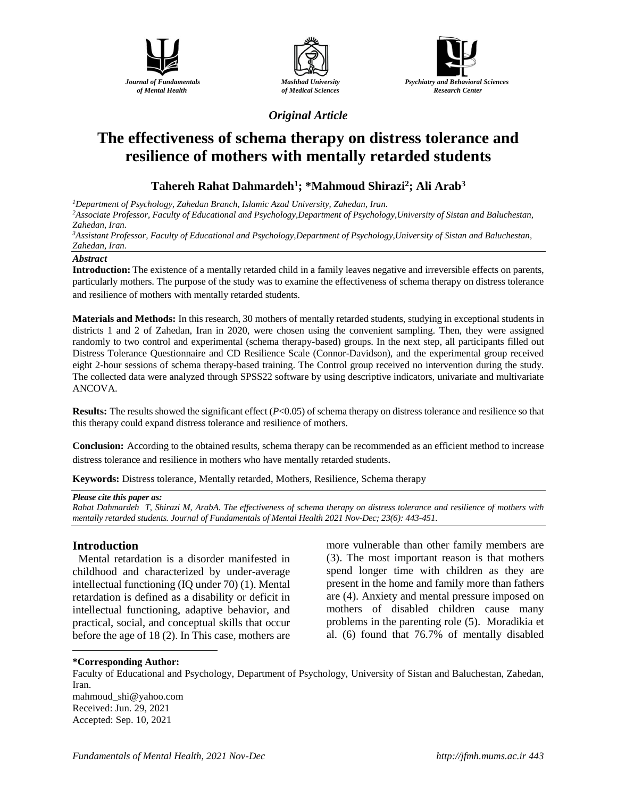





*Original Article*

# **The effectiveness of schema therapy on distress tolerance and resilience of mothers with mentally retarded students**

# **Tahereh Rahat Dahmardeh<sup>1</sup> ; \*Mahmoud Shirazi<sup>2</sup> ; Ali Arab<sup>3</sup>**

*<sup>1</sup>Department of Psychology, Zahedan Branch, Islamic Azad University, Zahedan, Iran. <sup>2</sup>Associate Professor, Faculty of Educational and Psychology,Department of Psychology,University of Sistan and Baluchestan, Zahedan, Iran.*

*<sup>3</sup>Assistant Professor, Faculty of Educational and Psychology,Department of Psychology,University of Sistan and Baluchestan, Zahedan, Iran.*

#### *Abstract*

**Introduction:** The existence of a mentally retarded child in a family leaves negative and irreversible effects on parents, particularly mothers. The purpose of the study was to examine the effectiveness of schema therapy on distress tolerance and resilience of mothers with mentally retarded students.

**Materials and Methods:** In this research, 30 mothers of mentally retarded students, studying in exceptional students in districts 1 and 2 of Zahedan, Iran in 2020, were chosen using the convenient sampling. Then, they were assigned randomly to two control and experimental (schema therapy-based) groups. In the next step, all participants filled out Distress Tolerance Questionnaire and CD Resilience Scale (Connor-Davidson), and the experimental group received eight 2-hour sessions of schema therapy-based training. The Control group received no intervention during the study. The collected data were analyzed through SPSS22 software by using descriptive indicators, univariate and multivariate ANCOVA.

**Results:** The results showed the significant effect (*P*<0.05) of schema therapy on distress tolerance and resilience so that this therapy could expand distress tolerance and resilience of mothers.

**Conclusion:** According to the obtained results, schema therapy can be recommended as an efficient method to increase distress tolerance and resilience in mothers who have mentally retarded students.

**Keywords:** Distress tolerance, Mentally retarded, Mothers, Resilience, Schema therapy

#### *Please cite this paper as:*

*Rahat Dahmardeh T, Shirazi M, ArabA. The effectiveness of schema therapy on distress tolerance and resilience of mothers with mentally retarded students. Journal of Fundamentals of Mental Health 2021 Nov-Dec; 23(6): 443-451.*

#### **Introduction**

Mental retardation is a disorder manifested in childhood and characterized by under-average intellectual functioning (IQ under 70) (1). Mental retardation is defined as a disability or deficit in intellectual functioning, adaptive behavior, and practical, social, and conceptual skills that occur before the age of 18 (2). In This case, mothers are more vulnerable than other family members are (3). The most important reason is that mothers spend longer time with children as they are present in the home and family more than fathers are (4). Anxiety and mental pressure imposed on mothers of disabled children cause many problems in the parenting role (5). Moradikia et al. (6) found that 76.7% of mentally disabled

#### $\overline{a}$ **\*Corresponding Author:**

Faculty of Educational and Psychology, Department of Psychology, University of Sistan and Baluchestan, Zahedan, Iran. [mahmoud\\_shi@yahoo.com](mailto:mahmoud_shi@yahoo.com) Received: Jun. 29, 2021 Accepted: Sep. 10, 2021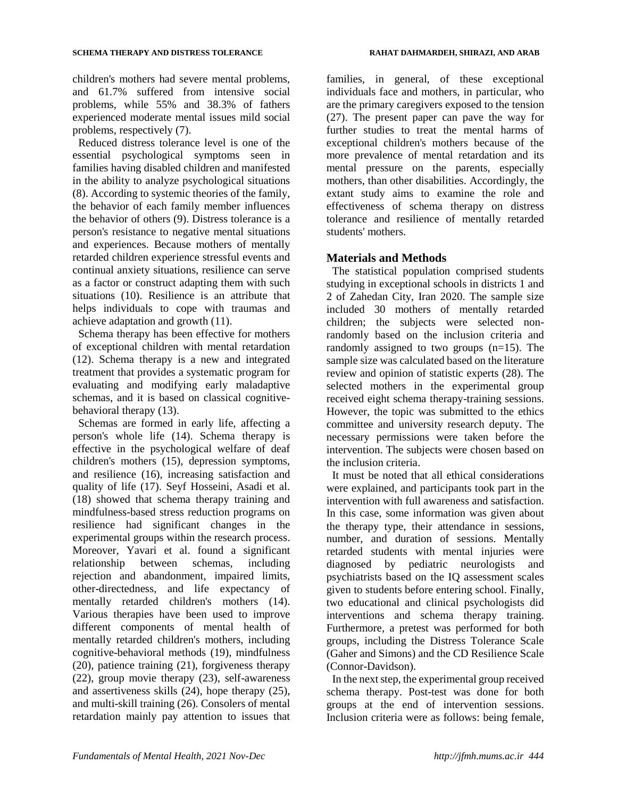children's mothers had severe mental problems, and 61.7% suffered from intensive social problems, while 55% and 38.3% of fathers experienced moderate mental issues mild social problems, respectively (7).

Reduced distress tolerance level is one of the essential psychological symptoms seen in families having disabled children and manifested in the ability to analyze psychological situations (8). According to systemic theories of the family, the behavior of each family member influences the behavior of others (9). Distress tolerance is a person's resistance to negative mental situations and experiences. Because mothers of mentally retarded children experience stressful events and continual anxiety situations, resilience can serve as a factor or construct adapting them with such situations (10). Resilience is an attribute that helps individuals to cope with traumas and achieve adaptation and growth (11).

Schema therapy has been effective for mothers of exceptional children with mental retardation (12). Schema therapy is a new and integrated treatment that provides a systematic program for evaluating and modifying early maladaptive schemas, and it is based on classical cognitivebehavioral therapy (13).

Schemas are formed in early life, affecting a person's whole life (14). Schema therapy is effective in the psychological welfare of deaf children's mothers (15), depression symptoms, and resilience (16), increasing satisfaction and quality of life (17). Seyf Hosseini, Asadi et al. (18) showed that schema therapy training and mindfulness-based stress reduction programs on resilience had significant changes in the experimental groups within the research process. Moreover, Yavari et al. found a significant relationship between schemas, including rejection and abandonment, impaired limits, other-directedness, and life expectancy of mentally retarded children's mothers (14). Various therapies have been used to improve different components of mental health of mentally retarded children's mothers, including cognitive-behavioral methods (19), mindfulness (20), patience training (21), forgiveness therapy (22), group movie therapy (23), self-awareness and assertiveness skills (24), hope therapy (25), and multi-skill training (26). Consolers of mental retardation mainly pay attention to issues that families, in general, of these exceptional individuals face and mothers, in particular, who are the primary caregivers exposed to the tension (27). The present paper can pave the way for further studies to treat the mental harms of exceptional children's mothers because of the more prevalence of mental retardation and its mental pressure on the parents, especially mothers, than other disabilities. Accordingly, the extant study aims to examine the role and effectiveness of schema therapy on distress tolerance and resilience of mentally retarded students' mothers.

# **Materials and Methods**

The statistical population comprised students studying in exceptional schools in districts 1 and 2 of Zahedan City, Iran 2020. The sample size included 30 mothers of mentally retarded children; the subjects were selected nonrandomly based on the inclusion criteria and randomly assigned to two groups (n=15). The sample size was calculated based on the literature review and opinion of statistic experts (28). The selected mothers in the experimental group received eight schema therapy-training sessions. However, the topic was submitted to the ethics committee and university research deputy. The necessary permissions were taken before the intervention. The subjects were chosen based on the inclusion criteria.

It must be noted that all ethical considerations were explained, and participants took part in the intervention with full awareness and satisfaction. In this case, some information was given about the therapy type, their attendance in sessions, number, and duration of sessions. Mentally retarded students with mental injuries were diagnosed by pediatric neurologists and psychiatrists based on the IQ assessment scales given to students before entering school. Finally, two educational and clinical psychologists did interventions and schema therapy training. Furthermore, a pretest was performed for both groups, including the Distress Tolerance Scale (Gaher and Simons) and the CD Resilience Scale (Connor-Davidson).

In the next step, the experimental group received schema therapy. Post-test was done for both groups at the end of intervention sessions. Inclusion criteria were as follows: being female,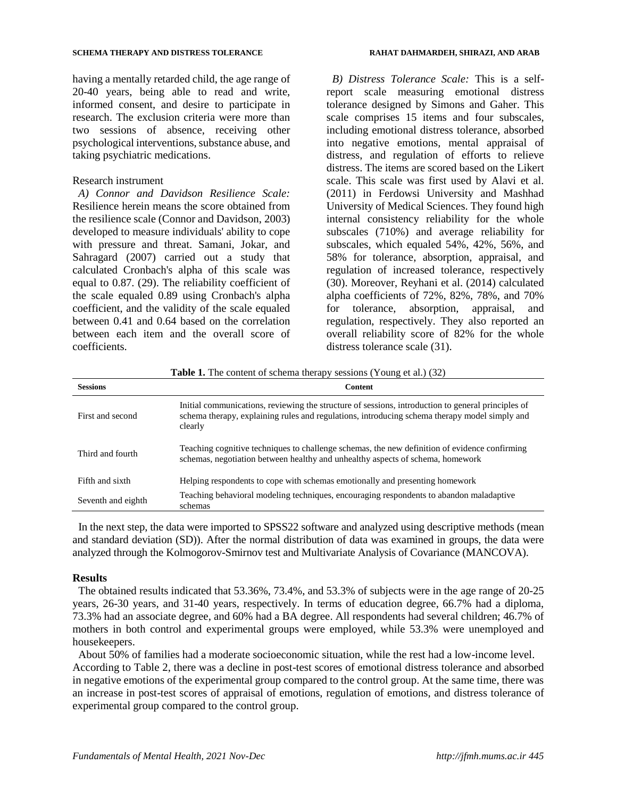having a mentally retarded child, the age range of 20-40 years, being able to read and write, informed consent, and desire to participate in research. The exclusion criteria were more than two sessions of absence, receiving other psychological interventions, substance abuse, and taking psychiatric medications.

#### Research instrument

*A) Connor and Davidson Resilience Scale:* Resilience herein means the score obtained from the resilience scale (Connor and Davidson, 2003) developed to measure individuals' ability to cope with pressure and threat. Samani, Jokar, and Sahragard (2007) carried out a study that calculated Cronbach's alpha of this scale was equal to 0.87. (29). The reliability coefficient of the scale equaled 0.89 using Cronbach's alpha coefficient, and the validity of the scale equaled between 0.41 and 0.64 based on the correlation between each item and the overall score of coefficients.

*B) Distress Tolerance Scale:* This is a selfreport scale measuring emotional distress tolerance designed by Simons and Gaher. This scale comprises 15 items and four subscales, including emotional distress tolerance, absorbed into negative emotions, mental appraisal of distress, and regulation of efforts to relieve distress. The items are scored based on the Likert scale. This scale was first used by Alavi et al. (2011) in Ferdowsi University and Mashhad University of Medical Sciences. They found high internal consistency reliability for the whole subscales (710%) and average reliability for subscales, which equaled 54%, 42%, 56%, and 58% for tolerance, absorption, appraisal, and regulation of increased tolerance, respectively (30). Moreover, Reyhani et al. (2014) calculated alpha coefficients of 72%, 82%, 78%, and 70% for tolerance, absorption, appraisal, and regulation, respectively. They also reported an overall reliability score of 82% for the whole distress tolerance scale (31).

**Table 1.** The content of schema therapy sessions (Young et al.) (32)

| <b>Sessions</b>    | <b>Content</b>                                                                                                                                                                                                 |
|--------------------|----------------------------------------------------------------------------------------------------------------------------------------------------------------------------------------------------------------|
| First and second   | Initial communications, reviewing the structure of sessions, introduction to general principles of<br>schema therapy, explaining rules and regulations, introducing schema therapy model simply and<br>clearly |
| Third and fourth   | Teaching cognitive techniques to challenge schemas, the new definition of evidence confirming<br>schemas, negotiation between healthy and unhealthy aspects of schema, homework                                |
| Fifth and sixth    | Helping respondents to cope with schemas emotionally and presenting homework                                                                                                                                   |
| Seventh and eighth | Teaching behavioral modeling techniques, encouraging respondents to abandon maladaptive<br>schemas                                                                                                             |

In the next step, the data were imported to SPSS22 software and analyzed using descriptive methods (mean and standard deviation (SD)). After the normal distribution of data was examined in groups, the data were analyzed through the Kolmogorov-Smirnov test and Multivariate Analysis of Covariance (MANCOVA).

#### **Results**

The obtained results indicated that 53.36%, 73.4%, and 53.3% of subjects were in the age range of 20-25 years, 26-30 years, and 31-40 years, respectively. In terms of education degree, 66.7% had a diploma, 73.3% had an associate degree, and 60% had a BA degree. All respondents had several children; 46.7% of mothers in both control and experimental groups were employed, while 53.3% were unemployed and housekeepers.

About 50% of families had a moderate socioeconomic situation, while the rest had a low-income level. According to Table 2, there was a decline in post-test scores of emotional distress tolerance and absorbed in negative emotions of the experimental group compared to the control group. At the same time, there was an increase in post-test scores of appraisal of emotions, regulation of emotions, and distress tolerance of experimental group compared to the control group.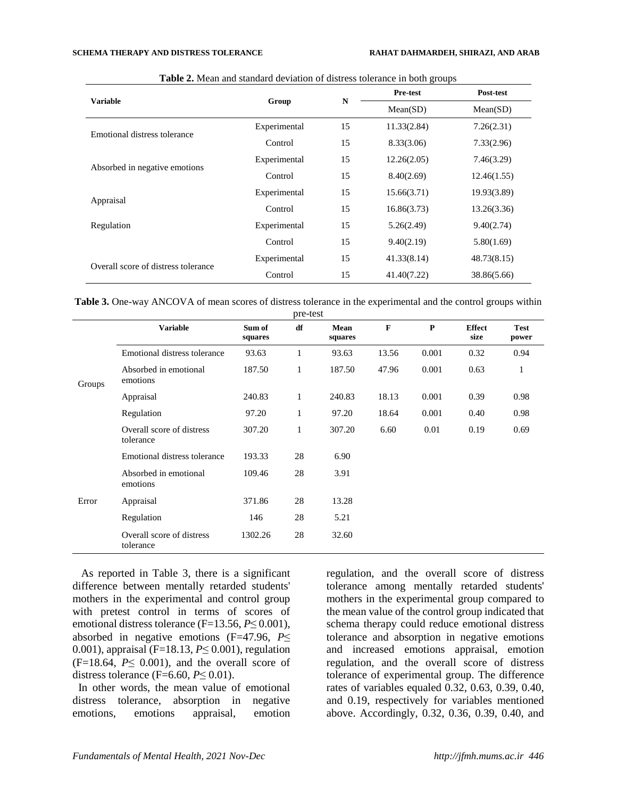|                                     |              | N  | Pre-test    | Post-test   |
|-------------------------------------|--------------|----|-------------|-------------|
| <b>Variable</b>                     | Group        |    | Mean(SD)    | Mean(SD)    |
|                                     | Experimental | 15 | 11.33(2.84) | 7.26(2.31)  |
| Emotional distress tolerance        | Control      | 15 | 8.33(3.06)  | 7.33(2.96)  |
|                                     | Experimental | 15 | 12.26(2.05) | 7.46(3.29)  |
| Absorbed in negative emotions       | Control      | 15 | 8.40(2.69)  | 12.46(1.55) |
|                                     | Experimental | 15 | 15.66(3.71) | 19.93(3.89) |
| Appraisal                           | Control      | 15 | 16.86(3.73) | 13.26(3.36) |
| Regulation                          | Experimental | 15 | 5.26(2.49)  | 9.40(2.74)  |
|                                     | Control      | 15 | 9.40(2.19)  | 5.80(1.69)  |
| Overall score of distress tolerance | Experimental | 15 | 41.33(8.14) | 48.73(8.15) |
|                                     | Control      | 15 | 41.40(7.22) | 38.86(5.66) |

**Table 2.** Mean and standard deviation of distress tolerance in both groups

**Table 3.** One-way ANCOVA of mean scores of distress tolerance in the experimental and the control groups within pre-test

|        |                                        |                   | pic-test     |                 |             |             |                       |                      |
|--------|----------------------------------------|-------------------|--------------|-----------------|-------------|-------------|-----------------------|----------------------|
|        | <b>Variable</b>                        | Sum of<br>squares | df           | Mean<br>squares | $\mathbf F$ | $\mathbf P$ | <b>Effect</b><br>size | <b>Test</b><br>power |
| Groups | Emotional distress tolerance           | 93.63             | $\mathbf{1}$ | 93.63           | 13.56       | 0.001       | 0.32                  | 0.94                 |
|        | Absorbed in emotional<br>emotions      | 187.50            | 1            | 187.50          | 47.96       | 0.001       | 0.63                  | $\mathbf{1}$         |
|        | Appraisal                              | 240.83            | 1            | 240.83          | 18.13       | 0.001       | 0.39                  | 0.98                 |
|        | Regulation                             | 97.20             | 1            | 97.20           | 18.64       | 0.001       | 0.40                  | 0.98                 |
|        | Overall score of distress<br>tolerance | 307.20            | 1            | 307.20          | 6.60        | 0.01        | 0.19                  | 0.69                 |
|        | Emotional distress tolerance           | 193.33            | 28           | 6.90            |             |             |                       |                      |
|        | Absorbed in emotional<br>emotions      | 109.46            | 28           | 3.91            |             |             |                       |                      |
| Error  | Appraisal                              | 371.86            | 28           | 13.28           |             |             |                       |                      |
|        | Regulation                             | 146               | 28           | 5.21            |             |             |                       |                      |
|        | Overall score of distress<br>tolerance | 1302.26           | 28           | 32.60           |             |             |                       |                      |

As reported in Table 3, there is a significant difference between mentally retarded students' mothers in the experimental and control group with pretest control in terms of scores of emotional distress tolerance (F=13.56, *P*≤ 0.001), absorbed in negative emotions (F=47.96, *P*≤ 0.001), appraisal (F=18.13, *P*≤ 0.001), regulation  $(F=18.64, P\leq 0.001)$ , and the overall score of distress tolerance (F=6.60,  $P \le 0.01$ ).

In other words, the mean value of emotional distress tolerance, absorption in negative emotions, emotions appraisal, emotion regulation, and the overall score of distress tolerance among mentally retarded students' mothers in the experimental group compared to the mean value of the control group indicated that schema therapy could reduce emotional distress tolerance and absorption in negative emotions and increased emotions appraisal, emotion regulation, and the overall score of distress tolerance of experimental group. The difference rates of variables equaled 0.32, 0.63, 0.39, 0.40, and 0.19, respectively for variables mentioned above. Accordingly, 0.32, 0.36, 0.39, 0.40, and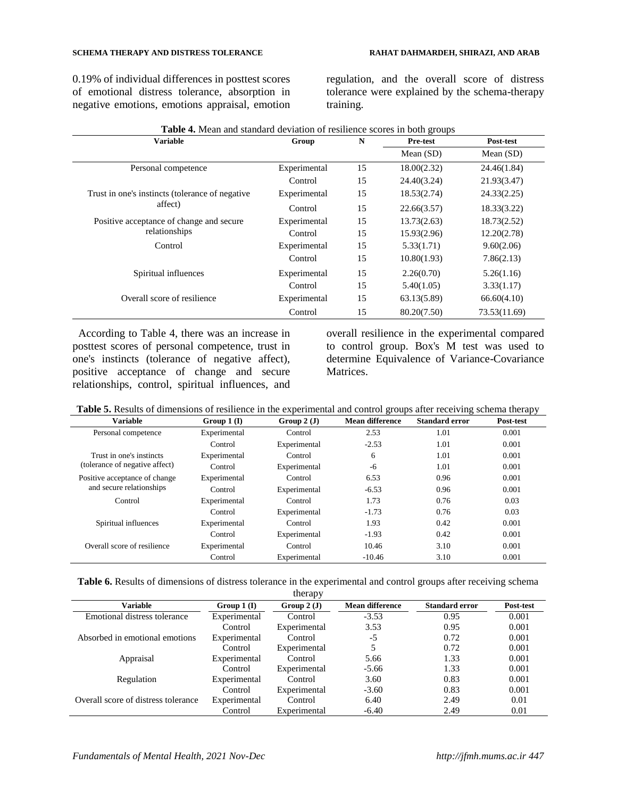#### **SCHEMA THERAPY AND DISTRESS TOLERANCE RAHAT DAHMARDEH, SHIRAZI, AND ARAB**

0.19% of individual differences in posttest scores of emotional distress tolerance, absorption in negative emotions, emotions appraisal, emotion

regulation, and the overall score of distress tolerance were explained by the schema-therapy training.

| <b>Table 4.</b> Mean and standard deviation of resilience scores in both groups |              |    |             |              |  |  |  |  |
|---------------------------------------------------------------------------------|--------------|----|-------------|--------------|--|--|--|--|
| <b>Variable</b>                                                                 | Group        | N  | Pre-test    | Post-test    |  |  |  |  |
|                                                                                 |              |    | Mean $(SD)$ | Mean $(SD)$  |  |  |  |  |
| Personal competence                                                             | Experimental | 15 | 18.00(2.32) | 24.46(1.84)  |  |  |  |  |
|                                                                                 | Control      | 15 | 24.40(3.24) | 21.93(3.47)  |  |  |  |  |
| Trust in one's instincts (tolerance of negative                                 | Experimental | 15 | 18.53(2.74) | 24.33(2.25)  |  |  |  |  |
| affect)                                                                         | Control      | 15 | 22.66(3.57) | 18.33(3.22)  |  |  |  |  |
| Positive acceptance of change and secure                                        | Experimental | 15 | 13.73(2.63) | 18.73(2.52)  |  |  |  |  |
| relationships                                                                   | Control      | 15 | 15.93(2.96) | 12.20(2.78)  |  |  |  |  |
| Control                                                                         | Experimental | 15 | 5.33(1.71)  | 9.60(2.06)   |  |  |  |  |
|                                                                                 | Control      | 15 | 10.80(1.93) | 7.86(2.13)   |  |  |  |  |
| Spiritual influences                                                            | Experimental | 15 | 2.26(0.70)  | 5.26(1.16)   |  |  |  |  |
|                                                                                 | Control      | 15 | 5.40(1.05)  | 3.33(1.17)   |  |  |  |  |
| Overall score of resilience                                                     | Experimental | 15 | 63.13(5.89) | 66.60(4.10)  |  |  |  |  |
|                                                                                 | Control      | 15 | 80.20(7.50) | 73.53(11.69) |  |  |  |  |

According to Table 4, there was an increase in posttest scores of personal competence, trust in one's instincts (tolerance of negative affect), positive acceptance of change and secure relationships, control, spiritual influences, and

overall resilience in the experimental compared to control group. Box's M test was used to determine Equivalence of Variance-Covariance Matrices.

| Table 5. Results of dimensions of resilience in the experimental and control groups after receiving schema therapy |  |  |
|--------------------------------------------------------------------------------------------------------------------|--|--|
|                                                                                                                    |  |  |

| Variable                       | Group $1(I)$ | Group $2(J)$ | <b>Mean difference</b> | <b>Standard error</b> | Post-test |
|--------------------------------|--------------|--------------|------------------------|-----------------------|-----------|
| Personal competence            | Experimental | Control      | 2.53                   | 1.01                  | 0.001     |
|                                | Control      | Experimental | $-2.53$                | 1.01                  | 0.001     |
| Trust in one's instincts       | Experimental | Control      | 6                      | 1.01                  | 0.001     |
| (tolerance of negative affect) | Control      | Experimental | -6                     | 1.01                  | 0.001     |
| Positive acceptance of change  | Experimental | Control      | 6.53                   | 0.96                  | 0.001     |
| and secure relationships       | Control      | Experimental | $-6.53$                | 0.96                  | 0.001     |
| Control                        | Experimental | Control      | 1.73                   | 0.76                  | 0.03      |
|                                | Control      | Experimental | $-1.73$                | 0.76                  | 0.03      |
| Spiritual influences           | Experimental | Control      | 1.93                   | 0.42                  | 0.001     |
|                                | Control      | Experimental | $-1.93$                | 0.42                  | 0.001     |
| Overall score of resilience    | Experimental | Control      | 10.46                  | 3.10                  | 0.001     |
|                                | Control      | Experimental | $-10.46$               | 3.10                  | 0.001     |

| Table 6. Results of dimensions of distress tolerance in the experimental and control groups after receiving schema |  |   |  |  |  |
|--------------------------------------------------------------------------------------------------------------------|--|---|--|--|--|
|                                                                                                                    |  | t |  |  |  |

|                                     |              | uici ap y    |                        |                       |           |
|-------------------------------------|--------------|--------------|------------------------|-----------------------|-----------|
| Variable                            | Group $1(I)$ | Group $2(J)$ | <b>Mean difference</b> | <b>Standard error</b> | Post-test |
| Emotional distress tolerance        | Experimental | Control      | $-3.53$                | 0.95                  | 0.001     |
|                                     | Control      | Experimental | 3.53                   | 0.95                  | 0.001     |
| Absorbed in emotional emotions      | Experimental | Control      | -5                     | 0.72                  | 0.001     |
|                                     | Control      | Experimental | 5                      | 0.72                  | 0.001     |
| Appraisal                           | Experimental | Control      | 5.66                   | 1.33                  | 0.001     |
|                                     | Control      | Experimental | $-5.66$                | 1.33                  | 0.001     |
| Regulation                          | Experimental | Control      | 3.60                   | 0.83                  | 0.001     |
|                                     | Control      | Experimental | $-3.60$                | 0.83                  | 0.001     |
| Overall score of distress tolerance | Experimental | Control      | 6.40                   | 2.49                  | 0.01      |
|                                     | Control      | Experimental | $-6.40$                | 2.49                  | 0.01      |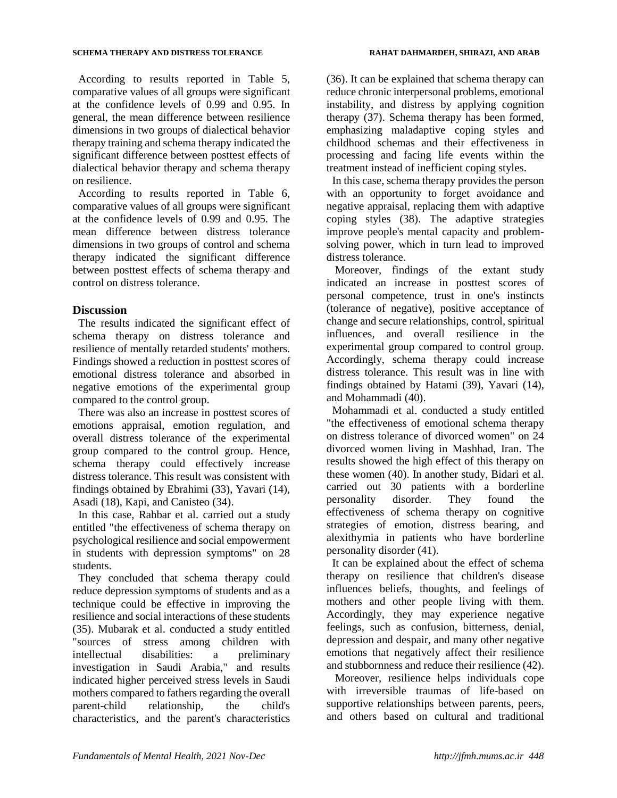According to results reported in Table 5, comparative values of all groups were significant at the confidence levels of 0.99 and 0.95. In general, the mean difference between resilience dimensions in two groups of dialectical behavior therapy training and schema therapy indicated the significant difference between posttest effects of dialectical behavior therapy and schema therapy on resilience.

According to results reported in Table 6, comparative values of all groups were significant at the confidence levels of 0.99 and 0.95. The mean difference between distress tolerance dimensions in two groups of control and schema therapy indicated the significant difference between posttest effects of schema therapy and control on distress tolerance.

# **Discussion**

The results indicated the significant effect of schema therapy on distress tolerance and resilience of mentally retarded students' mothers. Findings showed a reduction in posttest scores of emotional distress tolerance and absorbed in negative emotions of the experimental group compared to the control group.

There was also an increase in posttest scores of emotions appraisal, emotion regulation, and overall distress tolerance of the experimental group compared to the control group. Hence, schema therapy could effectively increase distress tolerance. This result was consistent with findings obtained by Ebrahimi (33), Yavari (14), Asadi (18), Kapi, and Canisteo (34).

In this case, Rahbar et al. carried out a study entitled "the effectiveness of schema therapy on psychological resilience and social empowerment in students with depression symptoms" on 28 students.

They concluded that schema therapy could reduce depression symptoms of students and as a technique could be effective in improving the resilience and social interactions of these students (35). Mubarak et al. conducted a study entitled "sources of stress among children with intellectual disabilities: a preliminary investigation in Saudi Arabia," and results indicated higher perceived stress levels in Saudi mothers compared to fathers regarding the overall parent-child relationship, the child's characteristics, and the parent's characteristics

(36). It can be explained that schema therapy can reduce chronic interpersonal problems, emotional instability, and distress by applying cognition therapy (37). Schema therapy has been formed, emphasizing maladaptive coping styles and childhood schemas and their effectiveness in processing and facing life events within the treatment instead of inefficient coping styles.

In this case, schema therapy provides the person with an opportunity to forget avoidance and negative appraisal, replacing them with adaptive coping styles (38). The adaptive strategies improve people's mental capacity and problemsolving power, which in turn lead to improved distress tolerance.

Moreover, findings of the extant study indicated an increase in posttest scores of personal competence, trust in one's instincts (tolerance of negative), positive acceptance of change and secure relationships, control, spiritual influences, and overall resilience in the experimental group compared to control group. Accordingly, schema therapy could increase distress tolerance. This result was in line with findings obtained by Hatami (39), Yavari (14), and Mohammadi (40).

Mohammadi et al. conducted a study entitled "the effectiveness of emotional schema therapy on distress tolerance of divorced women" on 24 divorced women living in Mashhad, Iran. The results showed the high effect of this therapy on these women (40). In another study, Bidari et al. carried out 30 patients with a borderline personality disorder. They found the effectiveness of schema therapy on cognitive strategies of emotion, distress bearing, and alexithymia in patients who have borderline personality disorder (41).

It can be explained about the effect of schema therapy on resilience that children's disease influences beliefs, thoughts, and feelings of mothers and other people living with them. Accordingly, they may experience negative feelings, such as confusion, bitterness, denial, depression and despair, and many other negative emotions that negatively affect their resilience and stubbornness and reduce their resilience (42).

Moreover, resilience helps individuals cope with irreversible traumas of life-based on supportive relationships between parents, peers, and others based on cultural and traditional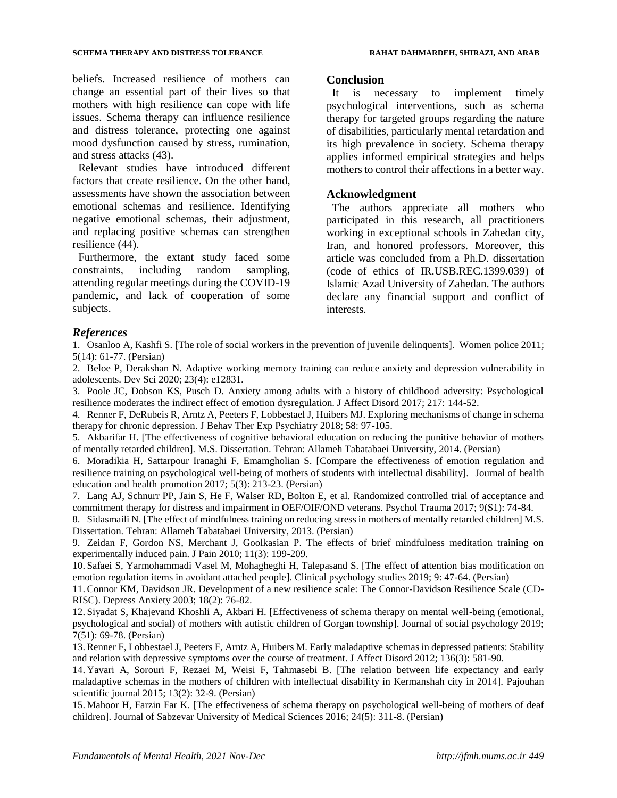#### **SCHEMA THERAPY AND DISTRESS TOLERANCE AND ARAB RAHAT DAHMARDEH, SHIRAZI, AND ARAB**

beliefs. Increased resilience of mothers can change an essential part of their lives so that mothers with high resilience can cope with life issues. Schema therapy can influence resilience and distress tolerance, protecting one against mood dysfunction caused by stress, rumination, and stress attacks (43).

Relevant studies have introduced different factors that create resilience. On the other hand, assessments have shown the association between emotional schemas and resilience. Identifying negative emotional schemas, their adjustment, and replacing positive schemas can strengthen resilience (44).

Furthermore, the extant study faced some constraints, including random sampling, attending regular meetings during the COVID-19 pandemic, and lack of cooperation of some subjects.

#### **Conclusion**

It is necessary to implement timely psychological interventions, such as schema therapy for targeted groups regarding the nature of disabilities, particularly mental retardation and its high prevalence in society. Schema therapy applies informed empirical strategies and helps mothers to control their affections in a better way.

## **Acknowledgment**

The authors appreciate all mothers who participated in this research, all practitioners working in exceptional schools in Zahedan city, Iran, and honored professors. Moreover, this article was concluded from a Ph.D. dissertation (code of ethics of IR.USB.REC.1399.039) of Islamic Azad University of Zahedan. The authors declare any financial support and conflict of interests.

## *References*

1. Osanloo A, Kashfi S. [The role of social workers in the prevention of juvenile delinquents]. Women police 2011; 5(14): 61-77. (Persian)

2. Beloe P, Derakshan N. Adaptive working memory training can reduce anxiety and depression vulnerability in adolescents. Dev Sci 2020; 23(4): e12831.

3. Poole JC, Dobson KS, Pusch D. Anxiety among adults with a history of childhood adversity: Psychological resilience moderates the indirect effect of emotion dysregulation. J Affect Disord 2017; 217: 144-52.

4. Renner F, DeRubeis R, Arntz A, Peeters F, Lobbestael J, Huibers MJ. Exploring mechanisms of change in schema therapy for chronic depression. J Behav Ther Exp Psychiatry 2018; 58: 97-105.

5. Akbarifar H. [The effectiveness of cognitive behavioral education on reducing the punitive behavior of mothers of mentally retarded children]. M.S. Dissertation. Tehran: Allameh Tabatabaei University, 2014. (Persian)

6. Moradikia H, Sattarpour Iranaghi F, Emamgholian S. [Compare the effectiveness of emotion regulation and resilience training on psychological well-being of mothers of students with intellectual disability]. Journal of health education and health promotion 2017; 5(3): 213-23. (Persian)

7. Lang AJ, Schnurr PP, Jain S, He F, Walser RD, Bolton E, et al. Randomized controlled trial of acceptance and commitment therapy for distress and impairment in OEF/OIF/OND veterans. Psychol Trauma 2017; 9(S1): 74-84.

8. Sidasmaili N. [The effect of mindfulness training on reducing stress in mothers of mentally retarded children] M.S. Dissertation. Tehran: Allameh Tabatabaei University, 2013. (Persian)

9. Zeidan F, Gordon NS, Merchant J, Goolkasian P. The effects of brief mindfulness meditation training on experimentally induced pain. J Pain 2010; 11(3): 199-209.

10. Safaei S, Yarmohammadi Vasel M, Mohagheghi H, Talepasand S. [The effect of attention bias modification on emotion regulation items in avoidant attached people]. Clinical psychology studies 2019; 9: 47-64. (Persian)

11. Connor KM, Davidson JR. Development of a new resilience scale: The Connor-Davidson Resilience Scale (CD-RISC). Depress Anxiety 2003; 18(2): 76-82.

12. Siyadat S, Khajevand Khoshli A, Akbari H. [Effectiveness of schema therapy on mental well-being (emotional, psychological and social) of mothers with autistic children of Gorgan township]. Journal of social psychology 2019; 7(51): 69-78. (Persian)

13. Renner F, Lobbestael J, Peeters F, Arntz A, Huibers M. Early maladaptive schemas in depressed patients: Stability and relation with depressive symptoms over the course of treatment. J Affect Disord 2012; 136(3): 581-90.

14. Yavari A, Sorouri F, Rezaei M, Weisi F, Tahmasebi B. [The relation between life expectancy and early maladaptive schemas in the mothers of children with intellectual disability in Kermanshah city in 2014]. Pajouhan scientific journal 2015; 13(2): 32-9. (Persian)

15. Mahoor H, Farzin Far K. [The effectiveness of schema therapy on psychological well-being of mothers of deaf children]. Journal of Sabzevar University of Medical Sciences 2016; 24(5): 311-8. (Persian)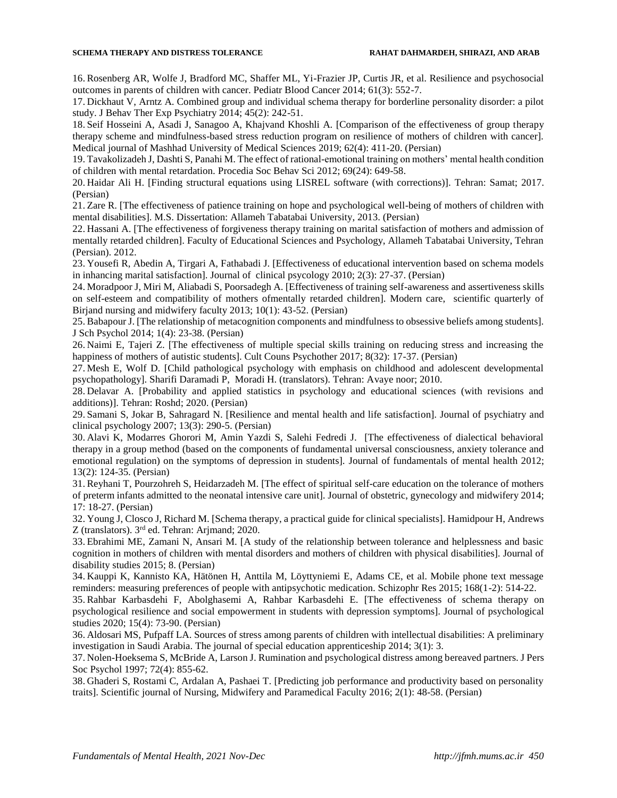#### **SCHEMA THERAPY AND DISTRESS TOLERANCE AND ARAB RAHAT DAHMARDEH, SHIRAZI, AND ARAB**

16. Rosenberg AR, Wolfe J, Bradford MC, Shaffer ML, Yi-Frazier JP, Curtis JR, et al. Resilience and psychosocial outcomes in parents of children with cancer. Pediatr Blood Cancer 2014; 61(3): 552-7.

17. Dickhaut V, Arntz A. Combined group and individual schema therapy for borderline personality disorder: a pilot study. J Behav Ther Exp Psychiatry 2014; 45(2): 242-51.

18. Seif Hosseini A, Asadi J, Sanagoo A, Khajvand Khoshli A. [Comparison of the effectiveness of group therapy therapy scheme and mindfulness-based stress reduction program on resilience of mothers of children with cancer]. Medical journal of Mashhad University of Medical Sciences 2019; 62(4): 411-20. (Persian)

19. Tavakolizadeh J, Dashti S, Panahi M. The effect of rational-emotional training on mothers' mental health condition of children with mental retardation. Procedia Soc Behav Sci 2012; 69(24): 649-58.

20. Haidar Ali H. [Finding structural equations using LISREL software (with corrections)]. Tehran: Samat; 2017. (Persian)

21. Zare R. [The effectiveness of patience training on hope and psychological well-being of mothers of children with mental disabilities]. M.S. Dissertation: Allameh Tabatabai University, 2013. (Persian)

22. Hassani A. [The effectiveness of forgiveness therapy training on marital satisfaction of mothers and admission of mentally retarded children]. Faculty of Educational Sciences and Psychology, Allameh Tabatabai University, Tehran (Persian). 2012.

23. Yousefi R, Abedin A, Tirgari A, Fathabadi J. [Effectiveness of educational intervention based on schema models in inhancing marital satisfaction]. Journal of clinical psycology 2010; 2(3): 27-37. (Persian)

24. Moradpoor J, Miri M, Aliabadi S, Poorsadegh A. [Effectiveness of training self-awareness and assertiveness skills on self-esteem and compatibility of mothers ofmentally retarded children]. Modern care, scientific quarterly of Birjand nursing and midwifery faculty 2013; 10(1): 43-52. (Persian)

25. Babapour J. [The relationship of metacognition components and mindfulness to obsessive beliefs among students]. J Sch Psychol 2014; 1(4): 23-38. (Persian)

26. Naimi E, Tajeri Z. [The effectiveness of multiple special skills training on reducing stress and increasing the happiness of mothers of autistic students]. Cult Couns Psychother 2017; 8(32): 17-37. (Persian)

27. Mesh E, Wolf D. [Child pathological psychology with emphasis on childhood and adolescent developmental psychopathology]. Sharifi Daramadi P, Moradi H. (translators). Tehran: Avaye noor; 2010.

28. Delavar A. [Probability and applied statistics in psychology and educational sciences (with revisions and additions)]. Tehran: Roshd; 2020. (Persian)

29. Samani S, Jokar B, Sahragard N. [Resilience and mental health and life satisfaction]. Journal of psychiatry and clinical psychology 2007; 13(3): 290-5. (Persian)

30. Alavi K, Modarres Ghorori M, Amin Yazdi S, Salehi Fedredi J. [The effectiveness of dialectical behavioral therapy in a group method (based on the components of fundamental universal consciousness, anxiety tolerance and emotional regulation) on the symptoms of depression in students]. Journal of fundamentals of mental health 2012; 13(2): 124-35. (Persian)

31. Reyhani T, Pourzohreh S, Heidarzadeh M. [The effect of spiritual self-care education on the tolerance of mothers of preterm infants admitted to the neonatal intensive care unit]. Journal of obstetric, gynecology and midwifery 2014; 17: 18-27. (Persian)

32. Young J, Closco J, Richard M. [Schema therapy, a practical guide for clinical specialists]. Hamidpour H, Andrews Z (translators). 3rd ed. Tehran: Arjmand; 2020.

33. Ebrahimi ME, Zamani N, Ansari M. [A study of the relationship between tolerance and helplessness and basic cognition in mothers of children with mental disorders and mothers of children with physical disabilities]. Journal of disability studies 2015; 8. (Persian)

34. Kauppi K, Kannisto KA, Hätönen H, Anttila M, Löyttyniemi E, Adams CE, et al. Mobile phone text message reminders: measuring preferences of people with antipsychotic medication. Schizophr Res 2015; 168(1-2): 514-22.

35. Rahbar Karbasdehi F, Abolghasemi A, Rahbar Karbasdehi E. [The effectiveness of schema therapy on psychological resilience and social empowerment in students with depression symptoms]. Journal of psychological studies 2020; 15(4): 73-90. (Persian)

36. Aldosari MS, Pufpaff LA. Sources of stress among parents of children with intellectual disabilities: A preliminary investigation in Saudi Arabia. The journal of special education apprenticeship 2014; 3(1): 3.

37. Nolen-Hoeksema S, McBride A, Larson J. Rumination and psychological distress among bereaved partners. J Pers Soc Psychol 1997; 72(4): 855-62.

38. Ghaderi S, Rostami C, Ardalan A, Pashaei T. [Predicting job performance and productivity based on personality traits]. Scientific journal of Nursing, Midwifery and Paramedical Faculty 2016; 2(1): 48-58. (Persian)